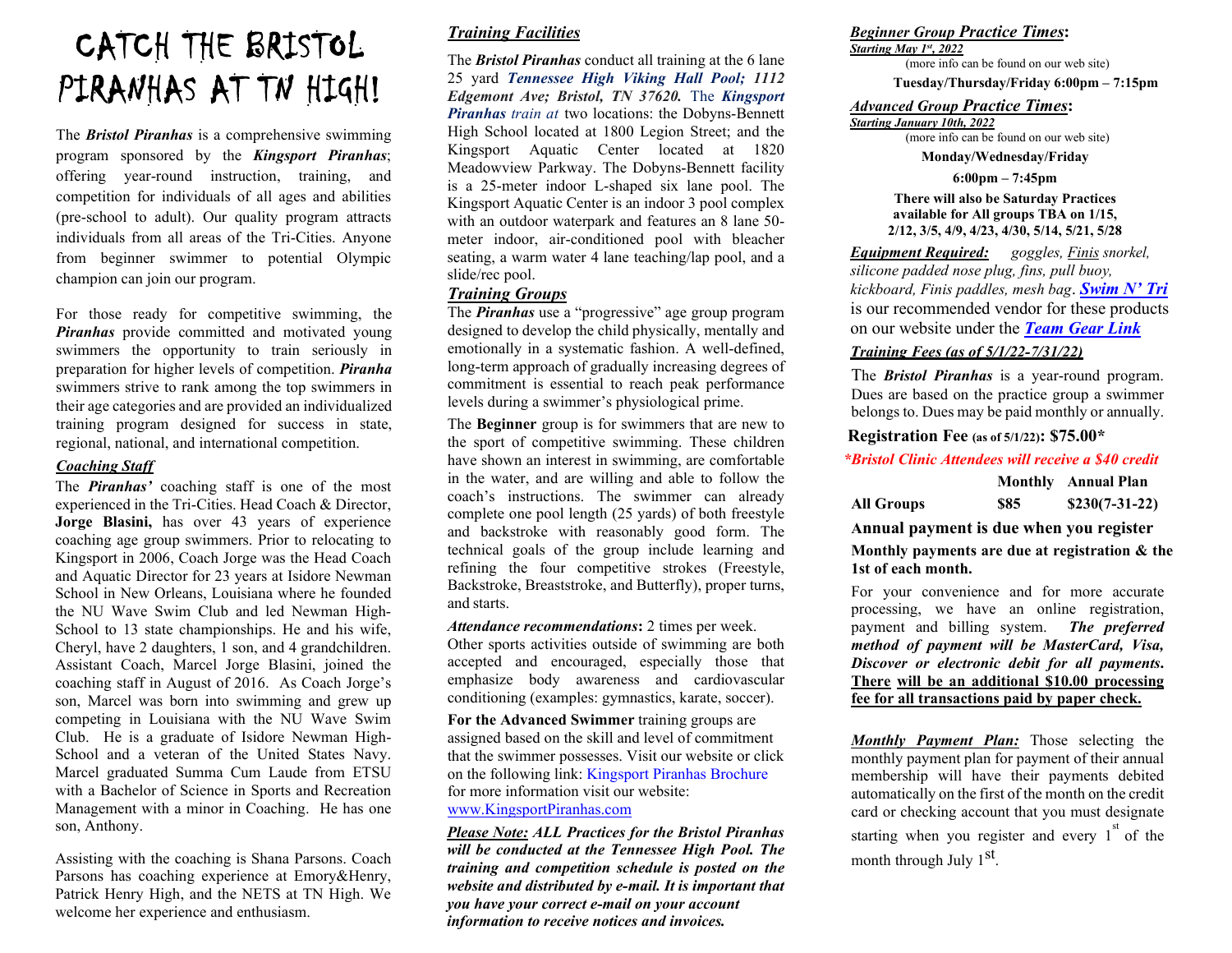## CATCH THE BRISTOL PIRANHAS AT TN HIGH!

The *Bristol Piranhas* is a comprehensive swimming program sponsored by the *Kingsport Piranhas*; offering year-round instruction, training, and competition for individuals of all ages and abilities (pre-school to adult). Our quality program attracts individuals from all areas of the Tri-Cities. Anyone from beginner swimmer to potential Olympic champion can join our program.

For those ready for competitive swimming, the *Piranhas* provide committed and motivated young swimmers the opportunity to train seriously in preparation for higher levels of competition. *Piranha*  swimmers strive to rank among the top swimmers in their age categories and are provided an individualized training program designed for success in state, regional, national, and international competition.

#### *Coaching Staff*

The *Piranhas'* coaching staff is one of the most experienced in the Tri-Cities. Head Coach & Director, **Jorge Blasini,** has over 43 years of experience coaching age group swimmers. Prior to relocating to Kingsport in 2006, Coach Jorge was the Head Coach and Aquatic Director for 23 years at Isidore Newman School in New Orleans, Louisiana where he founded the NU Wave Swim Club and led Newman High-School to 13 state championships. He and his wife, Cheryl, have 2 daughters, 1 son, and 4 grandchildren. Assistant Coach, Marcel Jorge Blasini, joined the coaching staff in August of 2016. As Coach Jorge's son, Marcel was born into swimming and grew up competing in Louisiana with the NU Wave Swim Club. He is a graduate of Isidore Newman High-School and a veteran of the United States Navy. Marcel graduated Summa Cum Laude from ETSU with a Bachelor of Science in Sports and Recreation Management with a minor in Coaching. He has one son, Anthony.

Assisting with the coaching is Shana Parsons. Coach Parsons has coaching experience at Emory&Henry, Patrick Henry High, and the NETS at TN High. We welcome her experience and enthusiasm.

#### *Training Facilities*

The *Bristol Piranhas* conduct all training at the 6 lane 25 yard *Tennessee High Viking Hall Pool; 1112 Edgemont Ave; Bristol, TN 37620.* The *Kingsport Piranhas train at* two locations: the Dobyns-Bennett High School located at 1800 Legion Street; and the Kingsport Aquatic Center located at 1820 Meadowview Parkway. The Dobyns-Bennett facility is a 25-meter indoor L-shaped six lane pool. The Kingsport Aquatic Center is an indoor 3 pool complex with an outdoor waterpark and features an 8 lane 50 meter indoor, air-conditioned pool with bleacher seating, a warm water 4 lane teaching/lap pool, and a slide/rec pool.

#### *Training Groups*

The *Piranhas* use a "progressive" age group program designed to develop the child physically, mentally and emotionally in a systematic fashion. A well-defined, long-term approach of gradually increasing degrees of commitment is essential to reach peak performance levels during a swimmer's physiological prime.

The **Beginner** group is for swimmers that are new to the sport of competitive swimming. These children have shown an interest in swimming, are comfortable in the water, and are willing and able to follow the coach's instructions. The swimmer can already complete one pool length (25 yards) of both freestyle and backstroke with reasonably good form. The technical goals of the group include learning and refining the four competitive strokes (Freestyle, Backstroke, Breaststroke, and Butterfly), proper turns, and starts.

Attendance recommendations: 2 times per week. Other sports activities outside of swimming are both accepted and encouraged, especially those that emphasize body awareness and cardiovascular conditioning (examples: gymnastics, karate, soccer).

**For the Advanced Swimmer** training groups are assigned based on the skill and level of commitment that the swimmer possesses. Visit our website or click on the following link: [Kingsport Piranhas Brochure](https://www.teamunify.com/sekp/__doc__/2021-22%20Kingsport%20Piranhas%20Brochure.pdf) for more information visit our website: [www.KingsportPiranhas.com](https://www.teamunify.com/Home.jsp?_tabid_=0&team=sekp)

*Please Note: ALL Practices for the Bristol Piranhas will be conducted at the Tennessee High Pool. The training and competition schedule is posted on the website and distributed by e-mail. It is important that you have your correct e-mail on your account information to receive notices and invoices.*

#### *Beginner Group Practice Times***:**

*Starting May 1st, 2022*

(more info can be found on our web site) **Tuesday/Thursday/Friday 6:00pm – 7:15pm**

#### *Advanced Group Practice Times***:**

*Starting January 10th, 2022*

(more info can be found on our web site)

**Monday/Wednesday/Friday** 

**6:00pm – 7:45pm** 

**There will also be Saturday Practices available for All groups TBA on 1/15, 2/12, 3/5, 4/9, 4/23, 4/30, 5/14, 5/21, 5/28**

*Equipment Required: goggles, Finis snorkel, silicone padded nose plug, fins, pull buoy, kickboard, Finis paddles, mesh bag*. *[Swim N'](http://www.swimandtri.com/Scripts/TeamView_KingsportPiranhas.aspx?_ga=2.53264616.1540978135.1639256253-1153557975.1577134977) Tri* is our recommended vendor for these products on our website under the *[Team Gear](https://www.teamunify.com/SubTabGeneric.jsp?team=sekp&_stabid_=184576) Link*

#### *Training Fees (as of 5/1/22-7/31/22)*

The *Bristol Piranhas* is a year-round program. Dues are based on the practice group a swimmer belongs to. Dues may be paid monthly or annually.

**Registration Fee (as of 5/1/22): \$75.00\***

#### *\*Bristol Clinic Attendees will receive a \$40 credit*

|            |     | Monthly Annual Plan |
|------------|-----|---------------------|
| All Groups | S85 | $$230(7-31-22)$     |

**Annual payment is due when you register Monthly payments are due at registration & the 1st of each month.**

For your convenience and for more accurate processing, we have an online registration, payment and billing system. *The preferred method of payment will be MasterCard, Visa, Discover or electronic debit for all payments***. There will be an additional \$10.00 processing fee for all transactions paid by paper check.**

*Monthly Payment Plan:* Those selecting the monthly payment plan for payment of their annual membership will have their payments debited automatically on the first of the month on the credit card or checking account that you must designate starting when you register and every  $1^{st}$  of the month through July 1<sup>st</sup>.